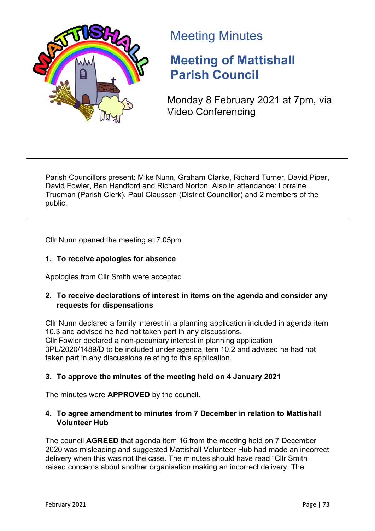

# Meeting Minutes

# **Meeting of Mattishall Parish Council**

Monday 8 February 2021 at 7pm, via Video Conferencing

Parish Councillors present: Mike Nunn, Graham Clarke, Richard Turner, David Piper, David Fowler, Ben Handford and Richard Norton. Also in attendance: Lorraine Trueman (Parish Clerk), Paul Claussen (District Councillor) and 2 members of the public.

Cllr Nunn opened the meeting at 7.05pm

# **1. To receive apologies for absence**

Apologies from Cllr Smith were accepted.

# **2. To receive declarations of interest in items on the agenda and consider any requests for dispensations**

Cllr Nunn declared a family interest in a planning application included in agenda item 10.3 and advised he had not taken part in any discussions. Cllr Fowler declared a non-pecuniary interest in planning application 3PL/2020/1489/D to be included under agenda item 10.2 and advised he had not taken part in any discussions relating to this application.

# **3. To approve the minutes of the meeting held on 4 January 2021**

The minutes were **APPROVED** by the council.

# **4. To agree amendment to minutes from 7 December in relation to Mattishall Volunteer Hub**

The council **AGREED** that agenda item 16 from the meeting held on 7 December 2020 was misleading and suggested Mattishall Volunteer Hub had made an incorrect delivery when this was not the case. The minutes should have read "Cllr Smith raised concerns about another organisation making an incorrect delivery. The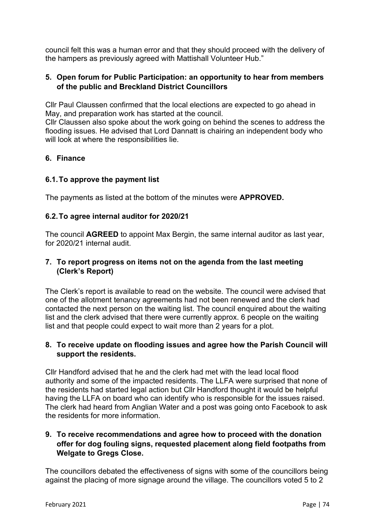council felt this was a human error and that they should proceed with the delivery of the hampers as previously agreed with Mattishall Volunteer Hub."

## **5. Open forum for Public Participation: an opportunity to hear from members of the public and Breckland District Councillors**

Cllr Paul Claussen confirmed that the local elections are expected to go ahead in May, and preparation work has started at the council.

Cllr Claussen also spoke about the work going on behind the scenes to address the flooding issues. He advised that Lord Dannatt is chairing an independent body who will look at where the responsibilities lie.

# **6. Finance**

## **6.1.To approve the payment list**

The payments as listed at the bottom of the minutes were **APPROVED.**

## **6.2.To agree internal auditor for 2020/21**

The council **AGREED** to appoint Max Bergin, the same internal auditor as last year, for 2020/21 internal audit.

## **7. To report progress on items not on the agenda from the last meeting (Clerk's Report)**

The Clerk's report is available to read on the website. The council were advised that one of the allotment tenancy agreements had not been renewed and the clerk had contacted the next person on the waiting list. The council enguired about the waiting list and the clerk advised that there were currently approx. 6 people on the waiting list and that people could expect to wait more than 2 years for a plot.

## **8. To receive update on flooding issues and agree how the Parish Council will support the residents.**

Cllr Handford advised that he and the clerk had met with the lead local flood authority and some of the impacted residents. The LLFA were surprised that none of the residents had started legal action but Cllr Handford thought it would be helpful having the LLFA on board who can identify who is responsible for the issues raised. The clerk had heard from Anglian Water and a post was going onto Facebook to ask the residents for more information.

## **9. To receive recommendations and agree how to proceed with the donation offer for dog fouling signs, requested placement along field footpaths from Welgate to Gregs Close.**

The councillors debated the effectiveness of signs with some of the councillors being against the placing of more signage around the village. The councillors voted 5 to 2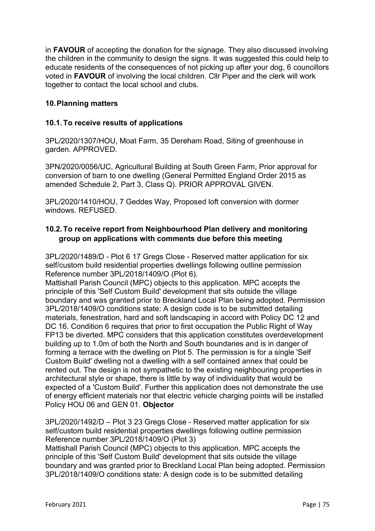in **FAVOUR** of accepting the donation for the signage. They also discussed involving the children in the community to design the signs. It was suggested this could help to educate residents of the consequences of not picking up after your dog, 6 councillors voted in **FAVOUR** of involving the local children. Cllr Piper and the clerk will work together to contact the local school and clubs.

## **10.Planning matters**

#### **10.1.To receive results of applications**

3PL/2020/1307/HOU, Moat Farm, 35 Dereham Road, Siting of greenhouse in garden. APPROVED.

3PN/2020/0056/UC, Agricultural Building at South Green Farm, Prior approval for conversion of barn to one dwelling (General Permitted England Order 2015 as amended Schedule 2, Part 3, Class Q). PRIOR APPROVAL GIVEN.

3PL/2020/1410/HOU, 7 Geddes Way, Proposed loft conversion with dormer windows. REFUSED.

## **10.2.To receive report from Neighbourhood Plan delivery and monitoring group on applications with comments due before this meeting**

3PL/2020/1489/D - Plot 6 17 Gregs Close - Reserved matter application for six self/custom build residential properties dwellings following outline permission Reference number 3PL/2018/1409/O (Plot 6).

Mattishall Parish Council (MPC) objects to this application. MPC accepts the principle of this 'Self Custom Build' development that sits outside the village boundary and was granted prior to Breckland Local Plan being adopted. Permission 3PL/2018/1409/O conditions state: A design code is to be submitted detailing materials, fenestration, hard and soft landscaping in accord with Policy DC 12 and DC 16. Condition 6 requires that prior to first occupation the Public Right of Way FP13 be diverted. MPC considers that this application constitutes overdevelopment building up to 1.0m of both the North and South boundaries and is in danger of forming a terrace with the dwelling on Plot 5. The permission is for a single 'Self Custom Build' dwelling not a dwelling with a self contained annex that could be rented out. The design is not sympathetic to the existing neighbouring properties in architectural style or shape, there is little by way of individuality that would be expected of a 'Custom Build'. Further this application does not demonstrate the use of energy efficient materials nor that electric vehicle charging points will be installed Policy HOU 06 and GEN 01. **Objector**

3PL/2020/1492/D – Plot 3 23 Gregs Close - Reserved matter application for six self/custom build residential properties dwellings following outline permission Reference number 3PL/2018/1409/O (Plot 3)

Mattishall Parish Council (MPC) objects to this application. MPC accepts the principle of this 'Self Custom Build' development that sits outside the village boundary and was granted prior to Breckland Local Plan being adopted. Permission 3PL/2018/1409/O conditions state: A design code is to be submitted detailing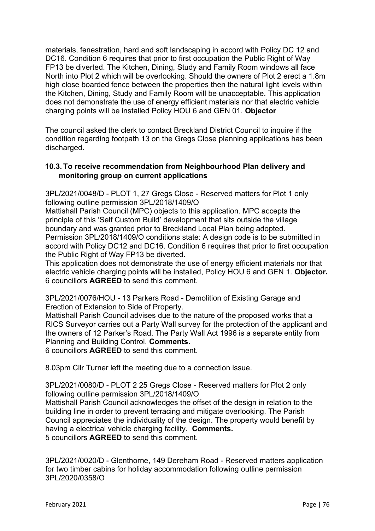materials, fenestration, hard and soft landscaping in accord with Policy DC 12 and DC16. Condition 6 requires that prior to first occupation the Public Right of Way FP13 be diverted. The Kitchen, Dining, Study and Family Room windows all face North into Plot 2 which will be overlooking. Should the owners of Plot 2 erect a 1.8m high close boarded fence between the properties then the natural light levels within the Kitchen, Dining, Study and Family Room will be unacceptable. This application does not demonstrate the use of energy efficient materials nor that electric vehicle charging points will be installed Policy HOU 6 and GEN 01. **Objector**

The council asked the clerk to contact Breckland District Council to inquire if the condition regarding footpath 13 on the Gregs Close planning applications has been discharged.

#### **10.3. To receive recommendation from Neighbourhood Plan delivery and monitoring group on current applications**

3PL/2021/0048/D - PLOT 1, 27 Gregs Close - Reserved matters for Plot 1 only following outline permission 3PL/2018/1409/O

Mattishall Parish Council (MPC) objects to this application. MPC accepts the principle of this 'Self Custom Build' development that sits outside the village boundary and was granted prior to Breckland Local Plan being adopted. Permission 3PL/2018/1409/O conditions state: A design code is to be submitted in accord with Policy DC12 and DC16. Condition 6 requires that prior to first occupation the Public Right of Way FP13 be diverted.

This application does not demonstrate the use of energy efficient materials nor that electric vehicle charging points will be installed, Policy HOU 6 and GEN 1. **Objector.** 6 councillors **AGREED** to send this comment.

3PL/2021/0076/HOU - 13 Parkers Road - Demolition of Existing Garage and Erection of Extension to Side of Property.

Mattishall Parish Council advises due to the nature of the proposed works that a RICS Surveyor carries out a Party Wall survey for the protection of the applicant and the owners of 12 Parker's Road. The Party Wall Act 1996 is a separate entity from Planning and Building Control. **Comments.**

6 councillors **AGREED** to send this comment.

8.03pm Cllr Turner left the meeting due to a connection issue.

3PL/2021/0080/D - PLOT 2 25 Gregs Close - Reserved matters for Plot 2 only following outline permission 3PL/2018/1409/O

Mattishall Parish Council acknowledges the offset of the design in relation to the building line in order to prevent terracing and mitigate overlooking. The Parish Council appreciates the individuality of the design. The property would benefit by having a electrical vehicle charging facility. **Comments.** 5 councillors **AGREED** to send this comment.

3PL/2021/0020/D - Glenthorne, 149 Dereham Road - Reserved matters application for two timber cabins for holiday accommodation following outline permission 3PL/2020/0358/O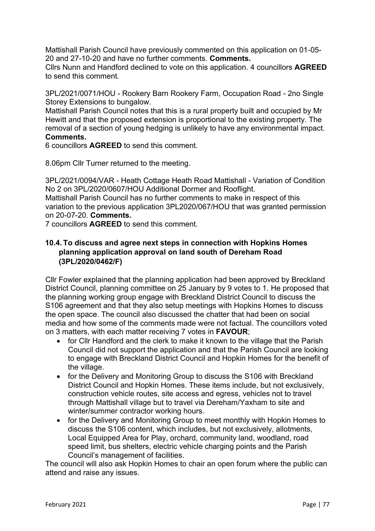Mattishall Parish Council have previously commented on this application on 01-05- 20 and 27-10-20 and have no further comments. **Comments.**

Cllrs Nunn and Handford declined to vote on this application. 4 councillors **AGREED** to send this comment.

3PL/2021/0071/HOU - Rookery Barn Rookery Farm, Occupation Road - 2no Single Storey Extensions to bungalow.

Mattishall Parish Council notes that this is a rural property built and occupied by Mr Hewitt and that the proposed extension is proportional to the existing property. The removal of a section of young hedging is unlikely to have any environmental impact. **Comments.**

6 councillors **AGREED** to send this comment.

8.06pm Cllr Turner returned to the meeting.

3PL/2021/0094/VAR - Heath Cottage Heath Road Mattishall - Variation of Condition No 2 on 3PL/2020/0607/HOU Additional Dormer and Rooflight.

Mattishall Parish Council has no further comments to make in respect of this variation to the previous application 3PL2020/067/HOU that was granted permission on 20-07-20. **Comments.**

7 councillors **AGREED** to send this comment.

## **10.4. To discuss and agree next steps in connection with Hopkins Homes planning application approval on land south of Dereham Road (3PL/2020/0462/F)**

Cllr Fowler explained that the planning application had been approved by Breckland District Council, planning committee on 25 January by 9 votes to 1. He proposed that the planning working group engage with Breckland District Council to discuss the S106 agreement and that they also setup meetings with Hopkins Homes to discuss the open space. The council also discussed the chatter that had been on social media and how some of the comments made were not factual. The councillors voted on 3 matters, with each matter receiving 7 votes in **FAVOUR**;

- for Cllr Handford and the clerk to make it known to the village that the Parish Council did not support the application and that the Parish Council are looking to engage with Breckland District Council and Hopkin Homes for the benefit of the village.
- for the Delivery and Monitoring Group to discuss the S106 with Breckland District Council and Hopkin Homes. These items include, but not exclusively, construction vehicle routes, site access and egress, vehicles not to travel through Mattishall village but to travel via Dereham/Yaxham to site and winter/summer contractor working hours.
- for the Delivery and Monitoring Group to meet monthly with Hopkin Homes to discuss the S106 content, which includes, but not exclusively, allotments, Local Equipped Area for Play, orchard, community land, woodland, road speed limit, bus shelters, electric vehicle charging points and the Parish Council's management of facilities.

The council will also ask Hopkin Homes to chair an open forum where the public can attend and raise any issues.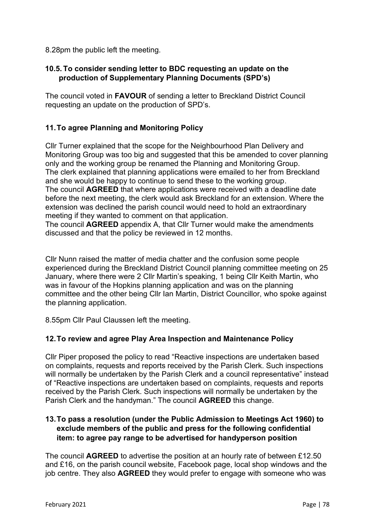#### 8.28pm the public left the meeting.

## **10.5. To consider sending letter to BDC requesting an update on the production of Supplementary Planning Documents (SPD's)**

The council voted in **FAVOUR** of sending a letter to Breckland District Council requesting an update on the production of SPD's.

# **11.To agree Planning and Monitoring Policy**

Cllr Turner explained that the scope for the Neighbourhood Plan Delivery and Monitoring Group was too big and suggested that this be amended to cover planning only and the working group be renamed the Planning and Monitoring Group. The clerk explained that planning applications were emailed to her from Breckland and she would be happy to continue to send these to the working group. The council **AGREED** that where applications were received with a deadline date before the next meeting, the clerk would ask Breckland for an extension. Where the extension was declined the parish council would need to hold an extraordinary meeting if they wanted to comment on that application.

The council **AGREED** appendix A, that Cllr Turner would make the amendments discussed and that the policy be reviewed in 12 months.

Cllr Nunn raised the matter of media chatter and the confusion some people experienced during the Breckland District Council planning committee meeting on 25 January, where there were 2 Cllr Martin's speaking, 1 being Cllr Keith Martin, who was in favour of the Hopkins planning application and was on the planning committee and the other being Cllr Ian Martin, District Councillor, who spoke against the planning application.

8.55pm Cllr Paul Claussen left the meeting.

# **12.To review and agree Play Area Inspection and Maintenance Policy**

Cllr Piper proposed the policy to read "Reactive inspections are undertaken based on complaints, requests and reports received by the Parish Clerk. Such inspections will normally be undertaken by the Parish Clerk and a council representative" instead of "Reactive inspections are undertaken based on complaints, requests and reports received by the Parish Clerk. Such inspections will normally be undertaken by the Parish Clerk and the handyman." The council **AGREED** this change.

## **13.To pass a resolution (under the Public Admission to Meetings Act 1960) to exclude members of the public and press for the following confidential item: to agree pay range to be advertised for handyperson position**

The council **AGREED** to advertise the position at an hourly rate of between £12.50 and £16, on the parish council website, Facebook page, local shop windows and the job centre. They also **AGREED** they would prefer to engage with someone who was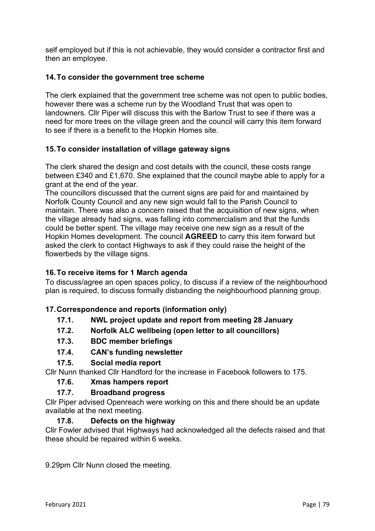self employed but if this is not achievable, they would consider a contractor first and then an employee.

# **14.To consider the government tree scheme**

The clerk explained that the government tree scheme was not open to public bodies, however there was a scheme run by the Woodland Trust that was open to landowners. Cllr Piper will discuss this with the Barlow Trust to see if there was a need for more trees on the village green and the council will carry this item forward to see if there is a benefit to the Hopkin Homes site.

# **15.To consider installation of village gateway signs**

The clerk shared the design and cost details with the council, these costs range between £340 and £1,670. She explained that the council maybe able to apply for a grant at the end of the year.

The councillors discussed that the current signs are paid for and maintained by Norfolk County Council and any new sign would fall to the Parish Council to maintain. There was also a concern raised that the acquisition of new signs, when the village already had signs, was falling into commercialism and that the funds could be better spent. The village may receive one new sign as a result of the Hopkin Homes development. The council **AGREED** to carry this item forward but asked the clerk to contact Highways to ask if they could raise the height of the flowerbeds by the village signs.

# **16.To receive items for 1 March agenda**

To discuss/agree an open spaces policy, to discuss if a review of the neighbourhood plan is required, to discuss formally disbanding the neighbourhood planning group.

# **17.Correspondence and reports (information only)**

- **17.1. NWL project update and report from meeting 28 January**
- **17.2. Norfolk ALC wellbeing (open letter to all councillors)**
- **17.3. BDC member briefings**
- **17.4. CAN's funding newsletter**
- **17.5. Social media report**

Cllr Nunn thanked Cllr Handford for the increase in Facebook followers to 175.

**17.6. Xmas hampers report**

# **17.7. Broadband progress**

Cllr Piper advised Openreach were working on this and there should be an update available at the next meeting.

# **17.8. Defects on the highway**

Cllr Fowler advised that Highways had acknowledged all the defects raised and that these should be repaired within 6 weeks.

9.29pm Cllr Nunn closed the meeting.